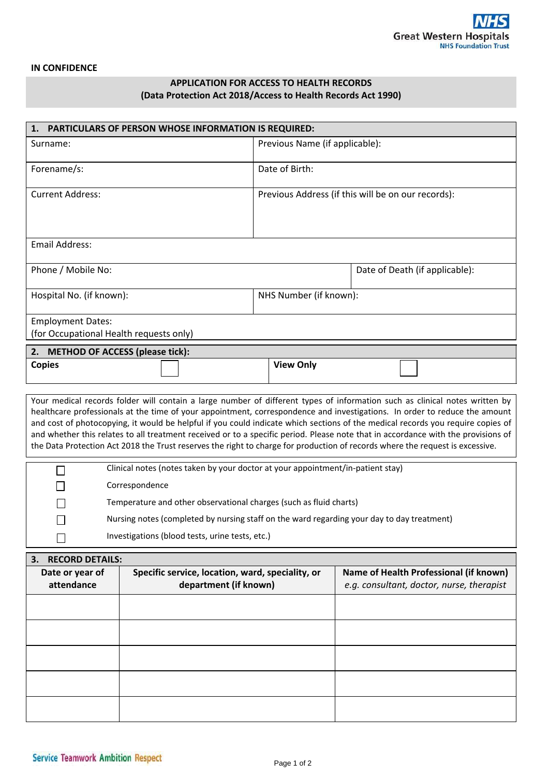## **IN CONFIDENCE**

## **APPLICATION FOR ACCESS TO HEALTH RECORDS (Data Protection Act 2018/Access to Health Records Act 1990)**

| PARTICULARS OF PERSON WHOSE INFORMATION IS REQUIRED:<br>1.                                                                                                                                                                                                                                                                                                                                                                                                                                                                                                                                                                                                         |                                                                           |                                |                                                                                     |  |  |  |
|--------------------------------------------------------------------------------------------------------------------------------------------------------------------------------------------------------------------------------------------------------------------------------------------------------------------------------------------------------------------------------------------------------------------------------------------------------------------------------------------------------------------------------------------------------------------------------------------------------------------------------------------------------------------|---------------------------------------------------------------------------|--------------------------------|-------------------------------------------------------------------------------------|--|--|--|
| Surname:                                                                                                                                                                                                                                                                                                                                                                                                                                                                                                                                                                                                                                                           |                                                                           | Previous Name (if applicable): |                                                                                     |  |  |  |
| Forename/s:                                                                                                                                                                                                                                                                                                                                                                                                                                                                                                                                                                                                                                                        |                                                                           | Date of Birth:                 |                                                                                     |  |  |  |
| <b>Current Address:</b>                                                                                                                                                                                                                                                                                                                                                                                                                                                                                                                                                                                                                                            | Previous Address (if this will be on our records):                        |                                |                                                                                     |  |  |  |
| <b>Email Address:</b>                                                                                                                                                                                                                                                                                                                                                                                                                                                                                                                                                                                                                                              |                                                                           |                                |                                                                                     |  |  |  |
| Phone / Mobile No:                                                                                                                                                                                                                                                                                                                                                                                                                                                                                                                                                                                                                                                 |                                                                           |                                | Date of Death (if applicable):                                                      |  |  |  |
| Hospital No. (if known):                                                                                                                                                                                                                                                                                                                                                                                                                                                                                                                                                                                                                                           | NHS Number (if known):                                                    |                                |                                                                                     |  |  |  |
| <b>Employment Dates:</b><br>(for Occupational Health requests only)                                                                                                                                                                                                                                                                                                                                                                                                                                                                                                                                                                                                |                                                                           |                                |                                                                                     |  |  |  |
| 2. METHOD OF ACCESS (please tick):                                                                                                                                                                                                                                                                                                                                                                                                                                                                                                                                                                                                                                 |                                                                           |                                |                                                                                     |  |  |  |
| <b>Copies</b>                                                                                                                                                                                                                                                                                                                                                                                                                                                                                                                                                                                                                                                      |                                                                           | <b>View Only</b>               |                                                                                     |  |  |  |
| Your medical records folder will contain a large number of different types of information such as clinical notes written by<br>healthcare professionals at the time of your appointment, correspondence and investigations. In order to reduce the amount<br>and cost of photocopying, it would be helpful if you could indicate which sections of the medical records you require copies of<br>and whether this relates to all treatment received or to a specific period. Please note that in accordance with the provisions of<br>the Data Protection Act 2018 the Trust reserves the right to charge for production of records where the request is excessive. |                                                                           |                                |                                                                                     |  |  |  |
| Clinical notes (notes taken by your doctor at your appointment/in-patient stay)                                                                                                                                                                                                                                                                                                                                                                                                                                                                                                                                                                                    |                                                                           |                                |                                                                                     |  |  |  |
| Correspondence                                                                                                                                                                                                                                                                                                                                                                                                                                                                                                                                                                                                                                                     |                                                                           |                                |                                                                                     |  |  |  |
| Temperature and other observational charges (such as fluid charts)                                                                                                                                                                                                                                                                                                                                                                                                                                                                                                                                                                                                 |                                                                           |                                |                                                                                     |  |  |  |
| Nursing notes (completed by nursing staff on the ward regarding your day to day treatment)                                                                                                                                                                                                                                                                                                                                                                                                                                                                                                                                                                         |                                                                           |                                |                                                                                     |  |  |  |
| Investigations (blood tests, urine tests, etc.)                                                                                                                                                                                                                                                                                                                                                                                                                                                                                                                                                                                                                    |                                                                           |                                |                                                                                     |  |  |  |
| <b>RECORD DETAILS:</b><br>3.                                                                                                                                                                                                                                                                                                                                                                                                                                                                                                                                                                                                                                       |                                                                           |                                |                                                                                     |  |  |  |
| Date or year of<br>attendance                                                                                                                                                                                                                                                                                                                                                                                                                                                                                                                                                                                                                                      | Specific service, location, ward, speciality, or<br>department (if known) |                                | Name of Health Professional (if known)<br>e.g. consultant, doctor, nurse, therapist |  |  |  |
|                                                                                                                                                                                                                                                                                                                                                                                                                                                                                                                                                                                                                                                                    |                                                                           |                                |                                                                                     |  |  |  |